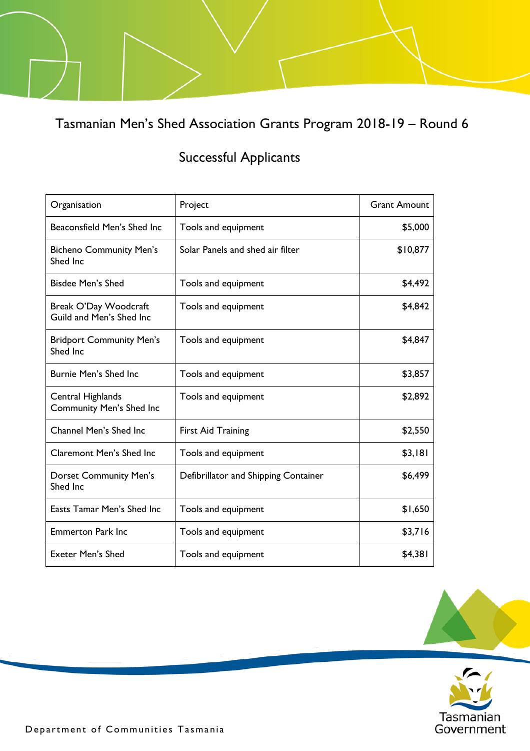Tasmanian Men's Shed Association Grants Program 2018-19 – Round 6

## Successful Applicants

| Organisation                                      | Project                              | <b>Grant Amount</b> |
|---------------------------------------------------|--------------------------------------|---------------------|
| Beaconsfield Men's Shed Inc                       | Tools and equipment                  | \$5,000             |
| <b>Bicheno Community Men's</b><br>Shed Inc        | Solar Panels and shed air filter     | \$10,877            |
| Bisdee Men's Shed                                 | Tools and equipment                  | \$4,492             |
| Break O'Day Woodcraft<br>Guild and Men's Shed Inc | Tools and equipment                  | \$4,842             |
| <b>Bridport Community Men's</b><br>Shed Inc       | Tools and equipment                  | \$4,847             |
| <b>Burnie Men's Shed Inc.</b>                     | Tools and equipment                  | \$3,857             |
| Central Highlands<br>Community Men's Shed Inc     | Tools and equipment                  | \$2,892             |
| Channel Men's Shed Inc                            | <b>First Aid Training</b>            | \$2,550             |
| <b>Claremont Men's Shed Inc</b>                   | Tools and equipment                  | \$3,181             |
| <b>Dorset Community Men's</b><br>Shed Inc         | Defibrillator and Shipping Container | \$6,499             |
| Easts Tamar Men's Shed Inc.                       | Tools and equipment                  | \$1,650             |
| <b>Emmerton Park Inc</b>                          | Tools and equipment                  | \$3,716             |
| <b>Exeter Men's Shed</b>                          | Tools and equipment                  | \$4,381             |